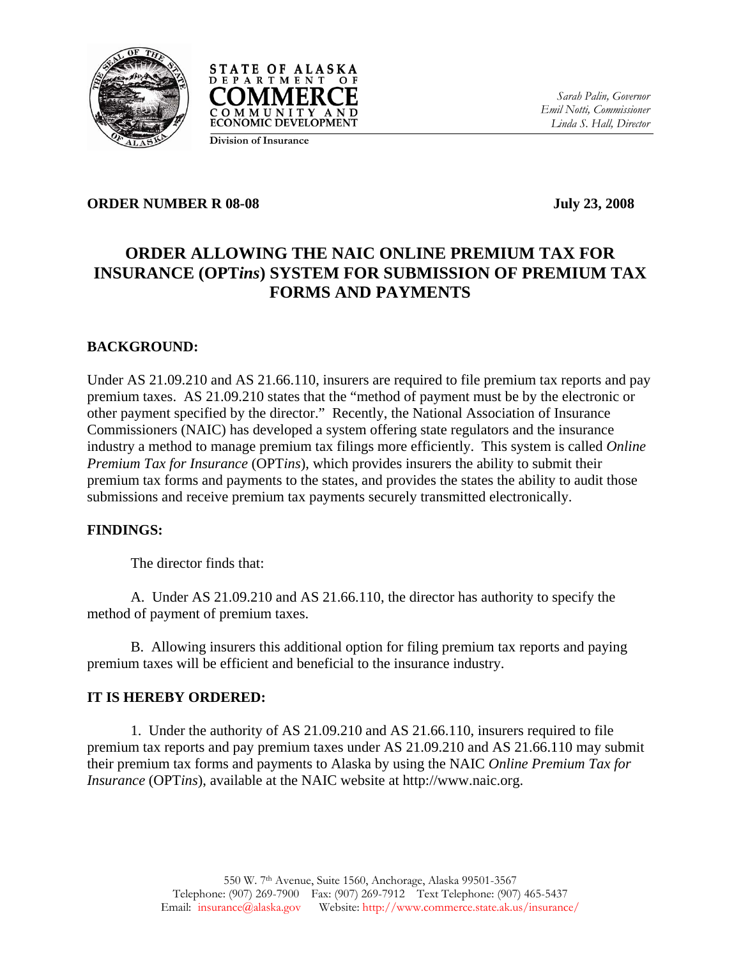



*Sarah Palin, Governor Emil Notti, Commissioner Linda S. Hall, Director* 

# **Division of Insurance**

### **ORDER NUMBER R 08-08 July 23, 2008**

# **ORDER ALLOWING THE NAIC ONLINE PREMIUM TAX FOR INSURANCE (OPT***ins***) SYSTEM FOR SUBMISSION OF PREMIUM TAX FORMS AND PAYMENTS**

## **BACKGROUND:**

Under AS 21.09.210 and AS 21.66.110, insurers are required to file premium tax reports and pay premium taxes. AS 21.09.210 states that the "method of payment must be by the electronic or other payment specified by the director." Recently, the National Association of Insurance Commissioners (NAIC) has developed a system offering state regulators and the insurance industry a method to manage premium tax filings more efficiently. This system is called *Online Premium Tax for Insurance* (OPT*ins*), which provides insurers the ability to submit their premium tax forms and payments to the states, and provides the states the ability to audit those submissions and receive premium tax payments securely transmitted electronically.

### **FINDINGS:**

The director finds that:

 A. Under AS 21.09.210 and AS 21.66.110, the director has authority to specify the method of payment of premium taxes.

 B. Allowing insurers this additional option for filing premium tax reports and paying premium taxes will be efficient and beneficial to the insurance industry.

### **IT IS HEREBY ORDERED:**

 1. Under the authority of AS 21.09.210 and AS 21.66.110, insurers required to file premium tax reports and pay premium taxes under AS 21.09.210 and AS 21.66.110 may submit their premium tax forms and payments to Alaska by using the NAIC *Online Premium Tax for Insurance* (OPT*ins*), available at the NAIC website at http://www.naic.org.